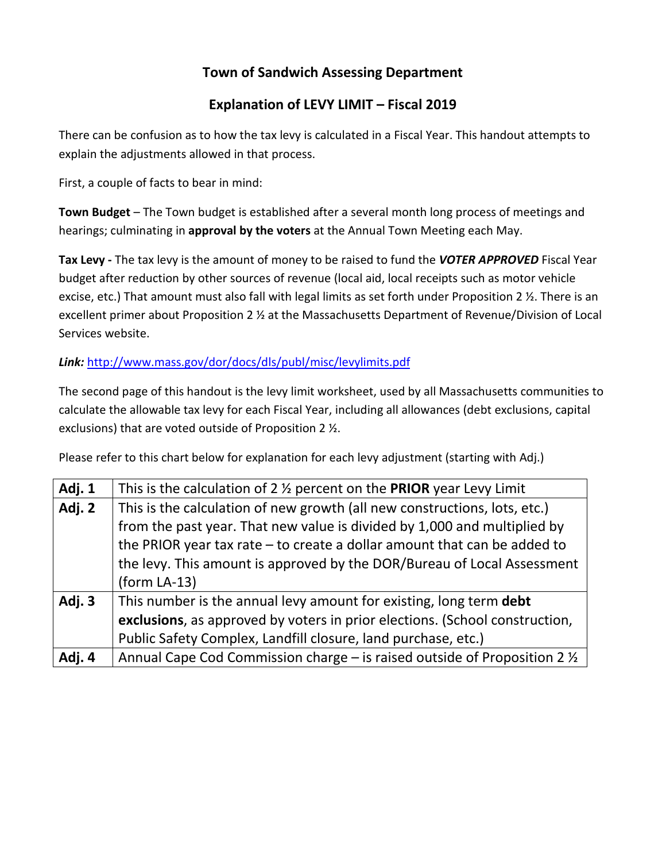# **Town of Sandwich Assessing Department**

## **Explanation of LEVY LIMIT – Fiscal 2019**

There can be confusion as to how the tax levy is calculated in a Fiscal Year. This handout attempts to explain the adjustments allowed in that process.

First, a couple of facts to bear in mind:

**Town Budget** – The Town budget is established after a several month long process of meetings and hearings; culminating in **approval by the voters** at the Annual Town Meeting each May.

**Tax Levy -** The tax levy is the amount of money to be raised to fund the *VOTER APPROVED* Fiscal Year budget after reduction by other sources of revenue (local aid, local receipts such as motor vehicle excise, etc.) That amount must also fall with legal limits as set forth under Proposition 2 ½. There is an excellent primer about Proposition 2 ½ at the Massachusetts Department of Revenue/Division of Local Services website.

## *Link:* <http://www.mass.gov/dor/docs/dls/publ/misc/levylimits.pdf>

The second page of this handout is the levy limit worksheet, used by all Massachusetts communities to calculate the allowable tax levy for each Fiscal Year, including all allowances (debt exclusions, capital exclusions) that are voted outside of Proposition 2 ½.

Please refer to this chart below for explanation for each levy adjustment (starting with Adj.)

| Adj. 1 | This is the calculation of 2 $\frac{1}{2}$ percent on the PRIOR year Levy Limit |  |  |  |  |
|--------|---------------------------------------------------------------------------------|--|--|--|--|
| Adj. 2 | This is the calculation of new growth (all new constructions, lots, etc.)       |  |  |  |  |
|        | from the past year. That new value is divided by 1,000 and multiplied by        |  |  |  |  |
|        | the PRIOR year tax rate $-$ to create a dollar amount that can be added to      |  |  |  |  |
|        | the levy. This amount is approved by the DOR/Bureau of Local Assessment         |  |  |  |  |
|        | $(form LA-13)$                                                                  |  |  |  |  |
| Adj. 3 | This number is the annual levy amount for existing, long term debt              |  |  |  |  |
|        | exclusions, as approved by voters in prior elections. (School construction,     |  |  |  |  |
|        | Public Safety Complex, Landfill closure, land purchase, etc.)                   |  |  |  |  |
| Adj. 4 | Annual Cape Cod Commission charge – is raised outside of Proposition 2 1/2      |  |  |  |  |